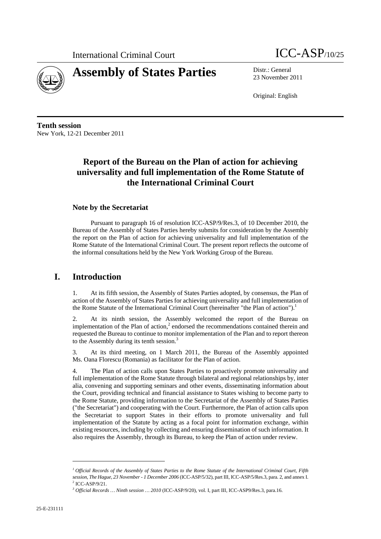



23 November 2011

Original: English

**Tenth session**  New York, 12-21 December 2011

# **Report of the Bureau on the Plan of action for achieving universality and full implementation of the Rome Statute of the International Criminal Court**

#### **Note by the Secretariat**

Pursuant to paragraph 16 of resolution ICC-ASP/9/Res.3, of 10 December 2010, the Bureau of the Assembly of States Parties hereby submits for consideration by the Assembly the report on the Plan of action for achieving universality and full implementation of the Rome Statute of the International Criminal Court. The present report reflects the outcome of the informal consultations held by the New York Working Group of the Bureau.

### **I. Introduction**

1. At its fifth session, the Assembly of States Parties adopted, by consensus, the Plan of action of the Assembly of States Parties for achieving universality and full implementation of the Rome Statute of the International Criminal Court (hereinafter "the Plan of action").<sup>1</sup>

2. At its ninth session, the Assembly welcomed the report of the Bureau on implementation of the Plan of action, $2$  endorsed the recommendations contained therein and requested the Bureau to continue to monitor implementation of the Plan and to report thereon to the Assembly during its tenth session.<sup>3</sup>

3. At its third meeting, on 1 March 2011, the Bureau of the Assembly appointed Ms. Oana Florescu (Romania) as facilitator for the Plan of action.

4. The Plan of action calls upon States Parties to proactively promote universality and full implementation of the Rome Statute through bilateral and regional relationships by, inter alia, convening and supporting seminars and other events, disseminating information about the Court, providing technical and financial assistance to States wishing to become party to the Rome Statute, providing information to the Secretariat of the Assembly of States Parties ("the Secretariat") and cooperating with the Court. Furthermore, the Plan of action calls upon the Secretariat to support States in their efforts to promote universality and full implementation of the Statute by acting as a focal point for information exchange, within existing resources, including by collecting and ensuring dissemination of such information. It also requires the Assembly, through its Bureau, to keep the Plan of action under review.

 $\overline{a}$ 

*<sup>1</sup> Official Records of the Assembly of States Parties to the Rome Statute of the International Criminal Court, Fifth session, The Hague, 23 November - 1 December 2006* (ICC-ASP/5/32), part III, ICC-ASP/5/Res.3, para. 2, and annex I.  $2$  ICC-ASP/9/21.

*<sup>3</sup> Official Records … Ninth session … 2010* (ICC-ASP/9/20), vol. I, part III, ICC-ASP9/Res.3, para.16.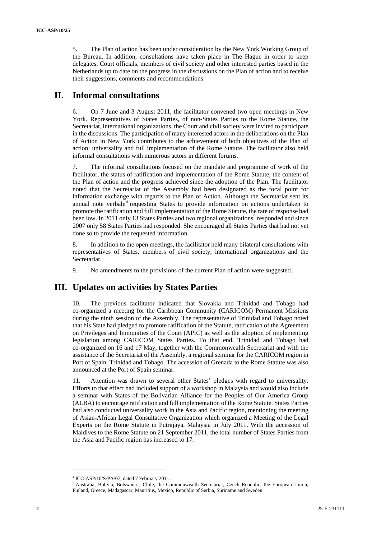5. The Plan of action has been under consideration by the New York Working Group of the Bureau. In addition, consultations have taken place in The Hague in order to keep delegates, Court officials, members of civil society and other interested parties based in the Netherlands up to date on the progress in the discussions on the Plan of action and to receive their suggestions, comments and recommendations.

# **II. Informal consultations**

6. On 7 June and 3 August 2011, the facilitator convened two open meetings in New York. Representatives of States Parties, of non-States Parties to the Rome Statute, the Secretariat, international organizations, the Court and civil society were invited to participate in the discussions. The participation of many interested actors in the deliberations on the Plan of Action in New York contributes to the achievement of both objectives of the Plan of action: universality and full implementation of the Rome Statute. The facilitator also held informal consultations with numerous actors in different forums.

7. The informal consultations focused on the mandate and programme of work of the facilitator, the status of ratification and implementation of the Rome Statute, the content of the Plan of action and the progress achieved since the adoption of the Plan. The facilitator noted that the Secretariat of the Assembly had been designated as the focal point for information exchange with regards to the Plan of Action. Although the Secretariat sent its annual note verbale<sup>4</sup> requesting States to provide information on actions undertaken to promote the ratification and full implementation of the Rome Statute, the rate of response had been low. In 2011 only 13 States Parties and two regional organizations<sup>5</sup> responded and since 2007 only 58 States Parties had responded. She encouraged all States Parties that had not yet done so to provide the requested information.

8. In addition to the open meetings, the facilitator held many bilateral consultations with representatives of States, members of civil society, international organizations and the Secretariat.

9. No amendments to the provisions of the current Plan of action were suggested.

# **III. Updates on activities by States Parties**

10. The previous facilitator indicated that Slovakia and Trinidad and Tobago had co-organized a meeting for the Caribbean Community (CARICOM) Permanent Missions during the ninth session of the Assembly. The representative of Trinidad and Tobago noted that his State had pledged to promote ratification of the Statute, ratification of the Agreement on Privileges and Immunities of the Court (APIC) as well as the adoption of implementing legislation among CARICOM States Parties. To that end, Trinidad and Tobago had co-organized on 16 and 17 May, together with the Commonwealth Secretariat and with the assistance of the Secretariat of the Assembly, a regional seminar for the CARICOM region in Port of Spain, Trinidad and Tobago. The accession of Grenada to the Rome Statute was also announced at the Port of Spain seminar.

11. Attention was drawn to several other States' pledges with regard to universality. Efforts to that effect had included support of a workshop in Malaysia and would also include a seminar with States of the Bolivarian Alliance for the Peoples of Our America Group (ALBA) to encourage ratification and full implementation of the Rome Statute. States Parties had also conducted universality work in the Asia and Pacific region, mentioning the meeting of Asian-African Legal Consultative Organization which organized a Meeting of the Legal Experts on the Rome Statute in Putrajaya, Malaysia in July 2011. With the accession of Maldives to the Rome Statute on 21 September 2011, the total number of States Parties from the Asia and Pacific region has increased to 17.

 $\overline{a}$ 

<sup>&</sup>lt;sup>4</sup> ICC-ASP/10/S/PA/07, dated 7 February 2011.

<sup>&</sup>lt;sup>5</sup> Australia, Bolivia, Botswana, Chile, the Commonwealth Secretariat, Czech Republic, the European Union, Finland, Greece, Madagascar, Mauritius, Mexico, Republic of Serbia, Suriname and Sweden.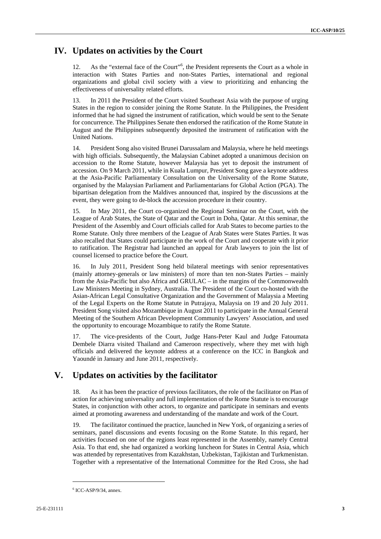#### **IV. Updates on activities by the Court**

12. As the "external face of the Court"<sup>6</sup>, the President represents the Court as a whole in interaction with States Parties and non-States Parties, international and regional organizations and global civil society with a view to prioritizing and enhancing the effectiveness of universality related efforts.

13. In 2011 the President of the Court visited Southeast Asia with the purpose of urging States in the region to consider joining the Rome Statute. In the Philippines, the President informed that he had signed the instrument of ratification, which would be sent to the Senate for concurrence. The Philippines Senate then endorsed the ratification of the Rome Statute in August and the Philippines subsequently deposited the instrument of ratification with the United Nations.

14. President Song also visited Brunei Darussalam and Malaysia, where he held meetings with high officials. Subsequently, the Malaysian Cabinet adopted a unanimous decision on accession to the Rome Statute, however Malaysia has yet to deposit the instrument of accession. On 9 March 2011, while in Kuala Lumpur, President Song gave a keynote address at the Asia-Pacific Parliamentary Consultation on the Universality of the Rome Statute, organised by the Malaysian Parliament and Parliamentarians for Global Action (PGA). The bipartisan delegation from the Maldives announced that, inspired by the discussions at the event, they were going to de-block the accession procedure in their country.

15. In May 2011, the Court co-organized the Regional Seminar on the Court, with the League of Arab States, the State of Qatar and the Court in Doha, Qatar. At this seminar, the President of the Assembly and Court officials called for Arab States to become parties to the Rome Statute. Only three members of the League of Arab States were States Parties. It was also recalled that States could participate in the work of the Court and cooperate with it prior to ratification. The Registrar had launched an appeal for Arab lawyers to join the list of counsel licensed to practice before the Court.

16. In July 2011, President Song held bilateral meetings with senior representatives (mainly attorney-generals or law ministers) of more than ten non-States Parties – mainly from the Asia-Pacific but also Africa and GRULAC – in the margins of the Commonwealth Law Ministers Meeting in Sydney, Australia. The President of the Court co-hosted with the Asian-African Legal Consultative Organization and the Government of Malaysia a Meeting of the Legal Experts on the Rome Statute in Putrajaya, Malaysia on 19 and 20 July 2011. President Song visited also Mozambique in August 2011 to participate in the Annual General Meeting of the Southern African Development Community Lawyers' Association, and used the opportunity to encourage Mozambique to ratify the Rome Statute.

17. The vice-presidents of the Court, Judge Hans-Peter Kaul and Judge Fatoumata Dembele Diarra visited Thailand and Cameroon respectively, where they met with high officials and delivered the keynote address at a conference on the ICC in Bangkok and Yaoundé in January and June 2011, respectively.

# **V. Updates on activities by the facilitator**

18. As it has been the practice of previous facilitators, the role of the facilitator on Plan of action for achieving universality and full implementation of the Rome Statute is to encourage States, in conjunction with other actors, to organize and participate in seminars and events aimed at promoting awareness and understanding of the mandate and work of the Court.

19. The facilitator continued the practice, launched in New York, of organizing a series of seminars, panel discussions and events focusing on the Rome Statute. In this regard, her activities focused on one of the regions least represented in the Assembly, namely Central Asia. To that end, she had organized a working luncheon for States in Central Asia, which was attended by representatives from Kazakhstan, Uzbekistan, Tajikistan and Turkmenistan. Together with a representative of the International Committee for the Red Cross, she had

 $\overline{a}$ 

 $6$  ICC-ASP/9/34, annex.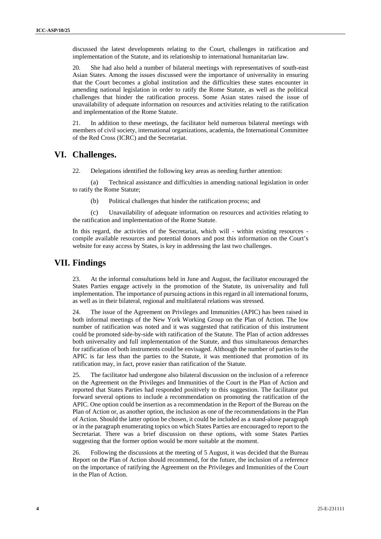discussed the latest developments relating to the Court, challenges in ratification and implementation of the Statute, and its relationship to international humanitarian law.

20. She had also held a number of bilateral meetings with representatives of south-east Asian States. Among the issues discussed were the importance of universality in ensuring that the Court becomes a global institution and the difficulties these states encounter in amending national legislation in order to ratify the Rome Statute, as well as the political challenges that hinder the ratification process. Some Asian states raised the issue of unavailability of adequate information on resources and activities relating to the ratification and implementation of the Rome Statute.

21. In addition to these meetings, the facilitator held numerous bilateral meetings with members of civil society, international organizations, academia, the International Committee of the Red Cross (ICRC) and the Secretariat.

### **VI. Challenges.**

22. Delegations identified the following key areas as needing further attention:

(a) Technical assistance and difficulties in amending national legislation in order to ratify the Rome Statute;

(b) Political challenges that hinder the ratification process; and

(c) Unavailability of adequate information on resources and activities relating to the ratification and implementation of the Rome Statute.

In this regard, the activities of the Secretariat, which will - within existing resources compile available resources and potential donors and post this information on the Court's website for easy access by States, is key in addressing the last two challenges.

### **VII. Findings**

23. At the informal consultations held in June and August, the facilitator encouraged the States Parties engage actively in the promotion of the Statute, its universality and full implementation. The importance of pursuing actions in this regard in all international forums, as well as in their bilateral, regional and multilateral relations was stressed.

24. The issue of the Agreement on Privileges and Immunities (APIC) has been raised in both informal meetings of the New York Working Group on the Plan of Action. The low number of ratification was noted and it was suggested that ratification of this instrument could be promoted side-by-side with ratification of the Statute. The Plan of action addresses both universality and full implementation of the Statute, and thus simultaneous demarches for ratification of both instruments could be envisaged. Although the number of parties to the APIC is far less than the parties to the Statute, it was mentioned that promotion of its ratification may, in fact, prove easier than ratification of the Statute.

25. The facilitator had undergone also bilateral discussion on the inclusion of a reference on the Agreement on the Privileges and Immunities of the Court in the Plan of Action and reported that States Parties had responded positively to this suggestion. The facilitator put forward several options to include a recommendation on promoting the ratification of the APIC. One option could be insertion as a recommendation in the Report of the Bureau on the Plan of Action or, as another option, the inclusion as one of the recommendations in the Plan of Action. Should the latter option be chosen, it could be included as a stand-alone paragraph or in the paragraph enumerating topics on which States Parties are encouraged to report to the Secretariat. There was a brief discussion on these options, with some States Parties suggesting that the former option would be more suitable at the moment.

26. Following the discussions at the meeting of 5 August, it was decided that the Bureau Report on the Plan of Action should recommend, for the future, the inclusion of a reference on the importance of ratifying the Agreement on the Privileges and Immunities of the Court in the Plan of Action.